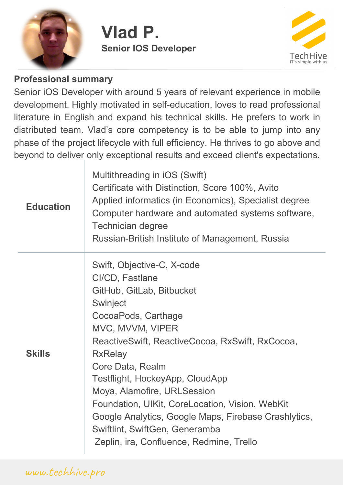

# **Vlad P. Senior IOS Developer**



#### **Professional summary**

Senior iOS Developer with around 5 years of relevant experience in mobile development. Highly motivated in self-education, loves to read professional literature in English and expand his technical skills. He prefers to work in distributed team. Vlad's core competency is to be able to jump into any phase of the project lifecycle with full efficiency. He thrives to go above and beyond to deliver only exceptional results and exceed client's expectations.

| <b>Education</b> | Multithreading in iOS (Swift)<br>Certificate with Distinction, Score 100%, Avito<br>Applied informatics (in Economics), Specialist degree<br>Computer hardware and automated systems software,<br><b>Technician degree</b><br>Russian-British Institute of Management, Russia                                                                                                                                                                                                         |
|------------------|---------------------------------------------------------------------------------------------------------------------------------------------------------------------------------------------------------------------------------------------------------------------------------------------------------------------------------------------------------------------------------------------------------------------------------------------------------------------------------------|
| <b>Skills</b>    | Swift, Objective-C, X-code<br>Cl/CD, Fastlane<br>GitHub, GitLab, Bitbucket<br>Swinject<br>CocoaPods, Carthage<br>MVC, MVVM, VIPER<br>ReactiveSwift, ReactiveCocoa, RxSwift, RxCocoa,<br><b>RxRelay</b><br>Core Data, Realm<br>Testflight, HockeyApp, CloudApp<br>Moya, Alamofire, URLSession<br>Foundation, UIKit, CoreLocation, Vision, WebKit<br>Google Analytics, Google Maps, Firebase Crashlytics,<br>Swiftlint, SwiftGen, Generamba<br>Zeplin, ira, Confluence, Redmine, Trello |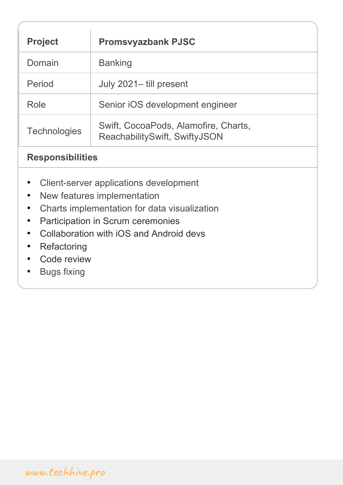| <b>Project</b>      | <b>Promsvyazbank PJSC</b>                                             |
|---------------------|-----------------------------------------------------------------------|
| Domain              | <b>Banking</b>                                                        |
| Period              | July 2021-till present                                                |
| Role                | Senior iOS development engineer                                       |
| <b>Technologies</b> | Swift, CocoaPods, Alamofire, Charts,<br>ReachabilitySwift, SwiftyJSON |

### **Responsibilities**

- Client-server applications development
- New features implementation
- Сharts implementation for data visualization
- Participation in Scrum ceremonies
- Collaboration with iOS and Android devs
- Refactoring
- Code review
- Bugs fixing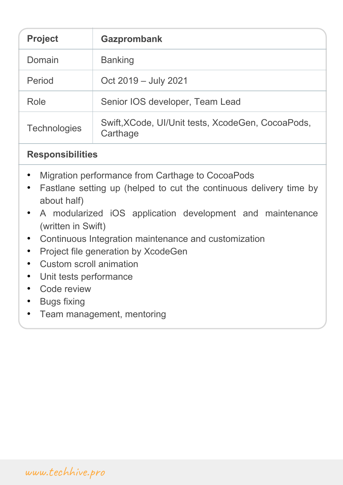| <b>Project</b>      | <b>Gazprombank</b>                                            |
|---------------------|---------------------------------------------------------------|
| Domain              | <b>Banking</b>                                                |
| Period              | Oct 2019 - July 2021                                          |
| Role                | Senior IOS developer, Team Lead                               |
| <b>Technologies</b> | Swift, XCode, UI/Unit tests, XcodeGen, CocoaPods,<br>Carthage |

## **Responsibilities**

- Migration performance from Carthage to CocoaPods
- Fastlane setting up (helped to cut the continuous delivery time by about half)
- A modularized iOS application development and maintenance (written in Swift)
- Continuous Integration maintenance and customization
- Project file generation by XcodeGen
- Сustom scroll animation
- Unit tests performance
- Code review
- Bugs fixing
- Team management, mentoring

www.techhive.pro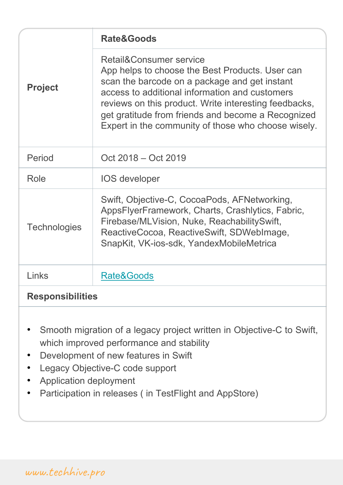|                         | <b>Rate&amp;Goods</b>                                                                                                                                                                                                                                                                                                                               |
|-------------------------|-----------------------------------------------------------------------------------------------------------------------------------------------------------------------------------------------------------------------------------------------------------------------------------------------------------------------------------------------------|
| <b>Project</b>          | Retail&Consumer service<br>App helps to choose the Best Products. User can<br>scan the barcode on a package and get instant<br>access to additional information and customers<br>reviews on this product. Write interesting feedbacks,<br>get gratitude from friends and become a Recognized<br>Expert in the community of those who choose wisely. |
| Period                  | Oct 2018 - Oct 2019                                                                                                                                                                                                                                                                                                                                 |
| Role                    | <b>IOS</b> developer                                                                                                                                                                                                                                                                                                                                |
| <b>Technologies</b>     | Swift, Objective-C, CocoaPods, AFNetworking,<br>AppsFlyerFramework, Charts, Crashlytics, Fabric,<br>Firebase/MLVision, Nuke, ReachabilitySwift,<br>ReactiveCocoa, ReactiveSwift, SDWebImage,<br>SnapKit, VK-ios-sdk, YandexMobileMetrica                                                                                                            |
| Links                   | Rate&Goods                                                                                                                                                                                                                                                                                                                                          |
| <b>Responsibilities</b> |                                                                                                                                                                                                                                                                                                                                                     |

- Smooth migration of a legacy project written in Objective-C to Swift, which improved performance and stability
- Development of new features in Swift
- Legacy Objective-C code support
- Application deployment
- Participation in releases ( in TestFlight and AppStore)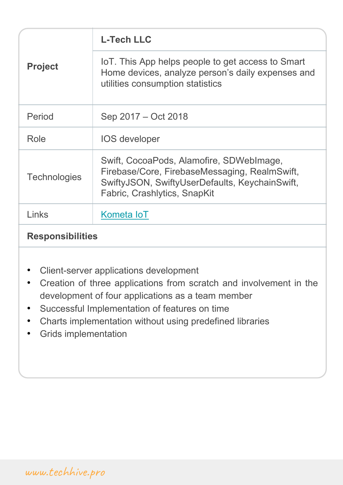| <b>Project</b>      | <b>L-Tech LLC</b>                                                                                                                                                           |
|---------------------|-----------------------------------------------------------------------------------------------------------------------------------------------------------------------------|
|                     | IoT. This App helps people to get access to Smart<br>Home devices, analyze person's daily expenses and<br>utilities consumption statistics                                  |
| Period              | Sep 2017 – Oct 2018                                                                                                                                                         |
| Role                | <b>IOS developer</b>                                                                                                                                                        |
| <b>Technologies</b> | Swift, CocoaPods, Alamofire, SDWebImage,<br>Firebase/Core, FirebaseMessaging, RealmSwift,<br>SwiftyJSON, SwiftyUserDefaults, KeychainSwift,<br>Fabric, Crashlytics, SnapKit |
| Links               | Kometa loT                                                                                                                                                                  |
|                     |                                                                                                                                                                             |

### **Responsibilities**

- Client-server applications development
- Creation of three applications from scratch and involvement in the development of four applications as a team member
- Successful Implementation of features on time
- Charts implementation without using predefined libraries
- Grids implementation